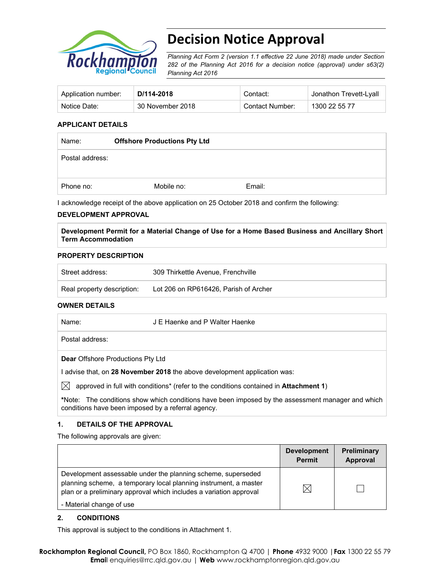

# **Decision Notice Approval**

*Planning Act Form 2 (version 1.1 effective 22 June 2018) made under Section 282 of the Planning Act 2016 for a decision notice (approval) under s63(2) Planning Act 2016*

| Application number: | D/114-2018       | Contact:        | <sup>⊢</sup> Jonathon Trevett-Lyall |
|---------------------|------------------|-----------------|-------------------------------------|
| Notice Date:        | 30 November 2018 | Contact Number: | 1300 22 55 77                       |

## **APPLICANT DETAILS**

| Name:           | <b>Offshore Productions Pty Ltd</b> |        |  |
|-----------------|-------------------------------------|--------|--|
| Postal address: |                                     |        |  |
| Phone no:       | Mobile no:                          | Email: |  |

I acknowledge receipt of the above application on 25 October 2018 and confirm the following:

## **DEVELOPMENT APPROVAL**

**Development Permit for a Material Change of Use for a Home Based Business and Ancillary Short Term Accommodation** 

## **PROPERTY DESCRIPTION**

| Street address:            | 309 Thirkettle Avenue, Frenchville    |
|----------------------------|---------------------------------------|
| Real property description: | Lot 206 on RP616426, Parish of Archer |

### **OWNER DETAILS**

| Name:           | J E Haenke and P Walter Haenke |  |
|-----------------|--------------------------------|--|
| Postal address: |                                |  |
|                 |                                |  |

**Dear** Offshore Productions Pty Ltd

I advise that, on **28 November 2018** the above development application was:

 $\boxtimes$  approved in full with conditions<sup>\*</sup> (refer to the conditions contained in **Attachment 1**)

**\***Note:The conditions show which conditions have been imposed by the assessment manager and which conditions have been imposed by a referral agency.

## **1. DETAILS OF THE APPROVAL**

The following approvals are given:

|                                                                                                                                                                                                        | <b>Development</b><br><b>Permit</b> | <b>Preliminary</b><br>Approval |
|--------------------------------------------------------------------------------------------------------------------------------------------------------------------------------------------------------|-------------------------------------|--------------------------------|
| Development assessable under the planning scheme, superseded<br>planning scheme, a temporary local planning instrument, a master<br>plan or a preliminary approval which includes a variation approval | ⋉                                   |                                |
| - Material change of use                                                                                                                                                                               |                                     |                                |

#### **2. CONDITIONS**

This approval is subject to the conditions in Attachment 1.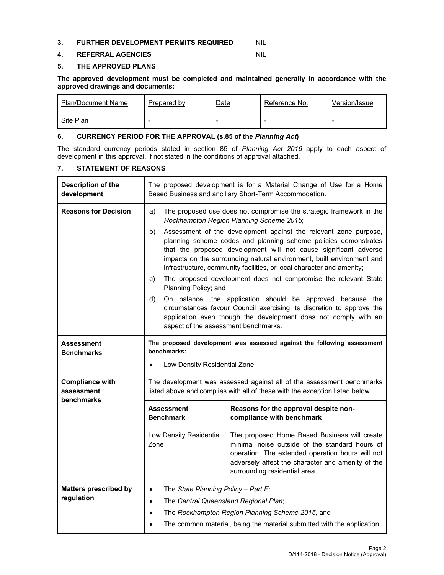### **3. FURTHER DEVELOPMENT PERMITS REQUIRED MIL**

## **4. REFERRAL AGENCIES** NIL

## **5. THE APPROVED PLANS**

**The approved development must be completed and maintained generally in accordance with the approved drawings and documents:** 

| <b>Plan/Document Name</b> | Prepared by              | <u>Date</u> | Reference No. | Version/Issue |
|---------------------------|--------------------------|-------------|---------------|---------------|
| Site Plan                 | $\overline{\phantom{a}}$ | -           | -             | -             |

## **6. CURRENCY PERIOD FOR THE APPROVAL (s.85 of the** *Planning Act***)**

The standard currency periods stated in section 85 of *Planning Act 2016* apply to each aspect of development in this approval, if not stated in the conditions of approval attached.

## **7. STATEMENT OF REASONS**

| Description of the<br>development          | The proposed development is for a Material Change of Use for a Home<br>Based Business and ancillary Short-Term Accommodation.                                                                                                                                               |                                                                                                                                                                                                                                                                                                                                                                                                                                                                                                                                                                                                                                                                                                                                                                                                                           |  |  |
|--------------------------------------------|-----------------------------------------------------------------------------------------------------------------------------------------------------------------------------------------------------------------------------------------------------------------------------|---------------------------------------------------------------------------------------------------------------------------------------------------------------------------------------------------------------------------------------------------------------------------------------------------------------------------------------------------------------------------------------------------------------------------------------------------------------------------------------------------------------------------------------------------------------------------------------------------------------------------------------------------------------------------------------------------------------------------------------------------------------------------------------------------------------------------|--|--|
| <b>Reasons for Decision</b>                | a)<br>b)<br>C)<br>d)                                                                                                                                                                                                                                                        | The proposed use does not compromise the strategic framework in the<br>Rockhampton Region Planning Scheme 2015;<br>Assessment of the development against the relevant zone purpose,<br>planning scheme codes and planning scheme policies demonstrates<br>that the proposed development will not cause significant adverse<br>impacts on the surrounding natural environment, built environment and<br>infrastructure, community facilities, or local character and amenity;<br>The proposed development does not compromise the relevant State<br>Planning Policy; and<br>On balance, the application should be approved because the<br>circumstances favour Council exercising its discretion to approve the<br>application even though the development does not comply with an<br>aspect of the assessment benchmarks. |  |  |
| <b>Assessment</b><br><b>Benchmarks</b>     | The proposed development was assessed against the following assessment<br>benchmarks:<br>Low Density Residential Zone<br>$\bullet$                                                                                                                                          |                                                                                                                                                                                                                                                                                                                                                                                                                                                                                                                                                                                                                                                                                                                                                                                                                           |  |  |
| <b>Compliance with</b><br>assessment       |                                                                                                                                                                                                                                                                             | The development was assessed against all of the assessment benchmarks<br>listed above and complies with all of these with the exception listed below.                                                                                                                                                                                                                                                                                                                                                                                                                                                                                                                                                                                                                                                                     |  |  |
| benchmarks                                 | <b>Assessment</b><br><b>Benchmark</b>                                                                                                                                                                                                                                       | Reasons for the approval despite non-<br>compliance with benchmark                                                                                                                                                                                                                                                                                                                                                                                                                                                                                                                                                                                                                                                                                                                                                        |  |  |
|                                            | The proposed Home Based Business will create<br>Low Density Residential<br>Zone<br>minimal noise outside of the standard hours of<br>operation. The extended operation hours will not<br>adversely affect the character and amenity of the<br>surrounding residential area. |                                                                                                                                                                                                                                                                                                                                                                                                                                                                                                                                                                                                                                                                                                                                                                                                                           |  |  |
| <b>Matters prescribed by</b><br>regulation | The State Planning Policy - Part E;<br>$\bullet$<br>The Central Queensland Regional Plan;<br>$\bullet$<br>The Rockhampton Region Planning Scheme 2015; and<br>$\bullet$                                                                                                     |                                                                                                                                                                                                                                                                                                                                                                                                                                                                                                                                                                                                                                                                                                                                                                                                                           |  |  |
|                                            | The common material, being the material submitted with the application.                                                                                                                                                                                                     |                                                                                                                                                                                                                                                                                                                                                                                                                                                                                                                                                                                                                                                                                                                                                                                                                           |  |  |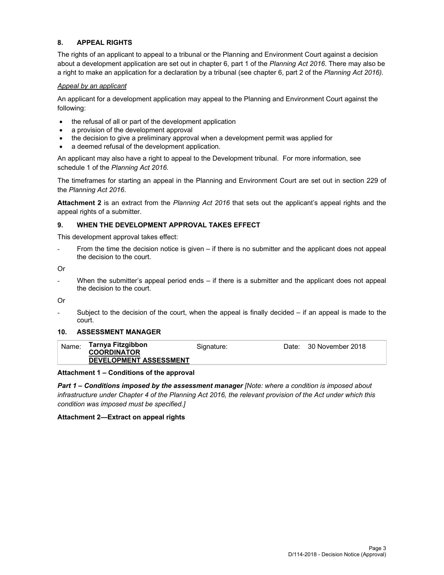## **8. APPEAL RIGHTS**

The rights of an applicant to appeal to a tribunal or the Planning and Environment Court against a decision about a development application are set out in chapter 6, part 1 of the *Planning Act 2016*. There may also be a right to make an application for a declaration by a tribunal (see chapter 6, part 2 of the *Planning Act 2016).*

## *Appeal by an applicant*

An applicant for a development application may appeal to the Planning and Environment Court against the following:

- the refusal of all or part of the development application
- a provision of the development approval
- the decision to give a preliminary approval when a development permit was applied for
- a deemed refusal of the development application.

An applicant may also have a right to appeal to the Development tribunal. For more information, see schedule 1 of the *Planning Act 2016*.

The timeframes for starting an appeal in the Planning and Environment Court are set out in section 229 of the *Planning Act 2016*.

**Attachment 2** is an extract from the *Planning Act 2016* that sets out the applicant's appeal rights and the appeal rights of a submitter.

## **9. WHEN THE DEVELOPMENT APPROVAL TAKES EFFECT**

This development approval takes effect:

From the time the decision notice is given – if there is no submitter and the applicant does not appeal the decision to the court.

Or

- When the submitter's appeal period ends – if there is a submitter and the applicant does not appeal the decision to the court.

Or

Subject to the decision of the court, when the appeal is finally decided  $-$  if an appeal is made to the court.

### **10. ASSESSMENT MANAGER**

| Name: | Tarnya Fitzgibbon             | Signature: | Date: 30 November 2018 |
|-------|-------------------------------|------------|------------------------|
|       | <b>COORDINATOR</b>            |            |                        |
|       | <b>DEVELOPMENT ASSESSMENT</b> |            |                        |
|       |                               |            |                        |

#### **Attachment 1 – Conditions of the approval**

*Part 1* **–** *Conditions imposed by the assessment manager [Note: where a condition is imposed about infrastructure under Chapter 4 of the Planning Act 2016, the relevant provision of the Act under which this condition was imposed must be specified.]*

#### **Attachment 2—Extract on appeal rights**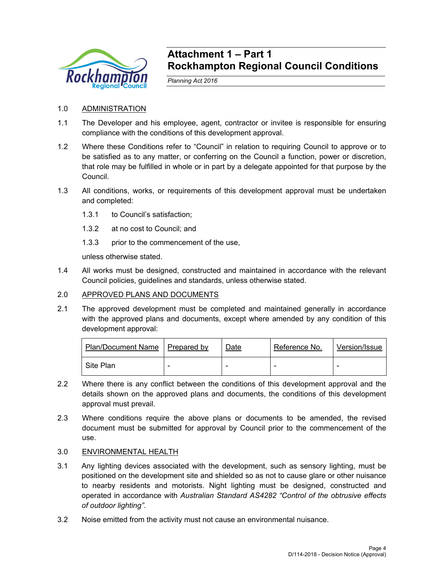

## **Attachment 1 – Part 1 Rockhampton Regional Council Conditions**

*Planning Act 2016* 

## 1.0 ADMINISTRATION

- 1.1 The Developer and his employee, agent, contractor or invitee is responsible for ensuring compliance with the conditions of this development approval.
- 1.2 Where these Conditions refer to "Council" in relation to requiring Council to approve or to be satisfied as to any matter, or conferring on the Council a function, power or discretion, that role may be fulfilled in whole or in part by a delegate appointed for that purpose by the Council.
- 1.3 All conditions, works, or requirements of this development approval must be undertaken and completed:
	- 1.3.1 to Council's satisfaction;
	- 1.3.2 at no cost to Council; and
	- 1.3.3 prior to the commencement of the use,

unless otherwise stated.

1.4 All works must be designed, constructed and maintained in accordance with the relevant Council policies, guidelines and standards, unless otherwise stated.

## 2.0 APPROVED PLANS AND DOCUMENTS

2.1 The approved development must be completed and maintained generally in accordance with the approved plans and documents, except where amended by any condition of this development approval:

| Plan/Document Name   Prepared by | Date | Reference No. | Version/Issue |
|----------------------------------|------|---------------|---------------|
| Site Plan                        |      |               |               |

- 2.2 Where there is any conflict between the conditions of this development approval and the details shown on the approved plans and documents, the conditions of this development approval must prevail.
- 2.3 Where conditions require the above plans or documents to be amended, the revised document must be submitted for approval by Council prior to the commencement of the use.

## 3.0 ENVIRONMENTAL HEALTH

- 3.1 Any lighting devices associated with the development, such as sensory lighting, must be positioned on the development site and shielded so as not to cause glare or other nuisance to nearby residents and motorists. Night lighting must be designed, constructed and operated in accordance with *Australian Standard AS4282 "Control of the obtrusive effects of outdoor lighting"*.
- 3.2 Noise emitted from the activity must not cause an environmental nuisance.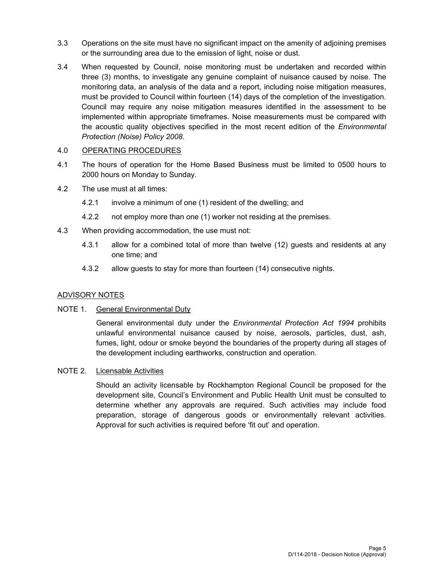- 3.3 Operations on the site must have no significant impact on the amenity of adjoining premises or the surrounding area due to the emission of light, noise or dust.
- 3.4 When requested by Council, noise monitoring must be undertaken and recorded within three (3) months, to investigate any genuine complaint of nuisance caused by noise. The monitoring data, an analysis of the data and a report, including noise mitigation measures, must be provided to Council within fourteen (14) days of the completion of the investigation. Council may require any noise mitigation measures identified in the assessment to be implemented within appropriate timeframes. Noise measurements must be compared with the acoustic quality objectives specified in the most recent edition of the *Environmental Protection (Noise) Policy 2008*.

## 4.0 OPERATING PROCEDURES

- 4.1 The hours of operation for the Home Based Business must be limited to 0500 hours to 2000 hours on Monday to Sunday.
- 4.2 The use must at all times:
	- 4.2.1 involve a minimum of one (1) resident of the dwelling; and
	- 4.2.2 not employ more than one (1) worker not residing at the premises.
- 4.3 When providing accommodation, the use must not:
	- 4.3.1 allow for a combined total of more than twelve (12) guests and residents at any one time; and
	- 4.3.2 allow guests to stay for more than fourteen (14) consecutive nights.

## ADVISORY NOTES

## NOTE 1. General Environmental Duty

General environmental duty under the *Environmental Protection Act 1994* prohibits unlawful environmental nuisance caused by noise, aerosols, particles, dust, ash, fumes, light, odour or smoke beyond the boundaries of the property during all stages of the development including earthworks, construction and operation.

## NOTE 2. Licensable Activities

Should an activity licensable by Rockhampton Regional Council be proposed for the development site, Council's Environment and Public Health Unit must be consulted to determine whether any approvals are required. Such activities may include food preparation, storage of dangerous goods or environmentally relevant activities. Approval for such activities is required before 'fit out' and operation.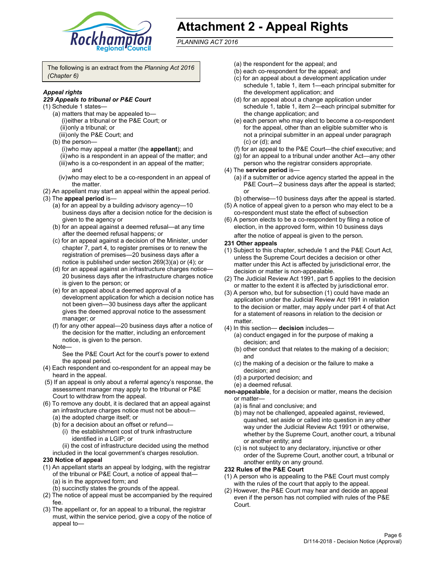

## **Attachment 2 - Appeal Rights**

*PLANNING ACT 2016*

The following is an extract from the *Planning Act 2016 (Chapter 6)*

## *Appeal rights*

## *229 Appeals to tribunal or P&E Court*

- (1) Schedule 1 states—
	- (a) matters that may be appealed to— (i) either a tribunal or the P&E Court; or (ii) only a tribunal; or (iii) only the P&E Court; and
	- (b) the person—
		- (i) who may appeal a matter (the **appellant**); and (ii) who is a respondent in an appeal of the matter; and (iii) who is a co-respondent in an appeal of the matter; and
		- (iv) who may elect to be a co-respondent in an appeal of the matter.
- (2) An appellant may start an appeal within the appeal period.
- (3) The **appeal period** is—
	- (a) for an appeal by a building advisory agency—10 business days after a decision notice for the decision is given to the agency or
	- (b) for an appeal against a deemed refusal—at any time after the deemed refusal happens; or
	- (c) for an appeal against a decision of the Minister, under chapter 7, part 4, to register premises or to renew the registration of premises—20 business days after a notice is published under section 269(3)(a) or (4); or
	- (d) for an appeal against an infrastructure charges notice— 20 business days after the infrastructure charges notice is given to the person; or
	- (e) for an appeal about a deemed approval of a development application for which a decision notice has not been given—30 business days after the applicant gives the deemed approval notice to the assessment manager; or
	- (f) for any other appeal—20 business days after a notice of the decision for the matter, including an enforcement notice, is given to the person.

#### Note—

See the P&E Court Act for the court's power to extend the appeal period.

- (4) Each respondent and co-respondent for an appeal may be heard in the appeal.
- (5) If an appeal is only about a referral agency's response, the assessment manager may apply to the tribunal or P&E Court to withdraw from the appeal.
- (6) To remove any doubt, it is declared that an appeal against an infrastructure charges notice must not be about— (a) the adopted charge itself; or
	- (b) for a decision about an offset or refund—
		- (i) the establishment cost of trunk infrastructure identified in a LGIP; or
		- (ii) the cost of infrastructure decided using the method
	- included in the local government's charges resolution.
- **230 Notice of appeal**
- (1) An appellant starts an appeal by lodging, with the registrar of the tribunal or P&E Court, a notice of appeal that— (a) is in the approved form; and
	- (b) succinctly states the grounds of the appeal.
- (2) The notice of appeal must be accompanied by the required fee.
- (3) The appellant or, for an appeal to a tribunal, the registrar must, within the service period, give a copy of the notice of appeal to—
- (a) the respondent for the appeal; and
- (b) each co-respondent for the appeal; and
- (c) for an appeal about a development application under schedule 1, table 1, item 1—each principal submitter for the development application; and
- (d) for an appeal about a change application under schedule 1, table 1, item 2—each principal submitter for the change application; and
- (e) each person who may elect to become a co-respondent for the appeal, other than an eligible submitter who is not a principal submitter in an appeal under paragraph (c) or (d); and
- (f) for an appeal to the P&E Court—the chief executive; and
- (g) for an appeal to a tribunal under another Act—any other person who the registrar considers appropriate.
- (4) The **service period** is—
	- (a) if a submitter or advice agency started the appeal in the P&E Court-2 business days after the appeal is started; or
	- (b) otherwise—10 business days after the appeal is started.
- (5) A notice of appeal given to a person who may elect to be a co-respondent must state the effect of subsection
- (6) A person elects to be a co-respondent by filing a notice of election, in the approved form, within 10 business days
	- after the notice of appeal is given to the person*.*
- **231 Other appeals**
- (1) Subject to this chapter, schedule 1 and the P&E Court Act, unless the Supreme Court decides a decision or other matter under this Act is affected by jurisdictional error, the decision or matter is non-appealable.
- (2) The Judicial Review Act 1991, part 5 applies to the decision or matter to the extent it is affected by jurisdictional error.
- (3) A person who, but for subsection (1) could have made an application under the Judicial Review Act 1991 in relation to the decision or matter, may apply under part 4 of that Act for a statement of reasons in relation to the decision or matter.
- (4) In this section— **decision** includes—
	- (a) conduct engaged in for the purpose of making a decision; and
	- (b) other conduct that relates to the making of a decision; and
	- (c) the making of a decision or the failure to make a decision; and
	- (d) a purported decision; and
	- (e) a deemed refusal.

**non-appealable**, for a decision or matter, means the decision or matter—

- (a) is final and conclusive; and
- (b) may not be challenged, appealed against, reviewed, quashed, set aside or called into question in any other way under the Judicial Review Act 1991 or otherwise, whether by the Supreme Court, another court, a tribunal or another entity; and
- (c) is not subject to any declaratory, injunctive or other order of the Supreme Court, another court, a tribunal or another entity on any ground.

#### **232 Rules of the P&E Court**

- (1) A person who is appealing to the P&E Court must comply with the rules of the court that apply to the appeal.
- (2) However, the P&E Court may hear and decide an appeal even if the person has not complied with rules of the P&E Court.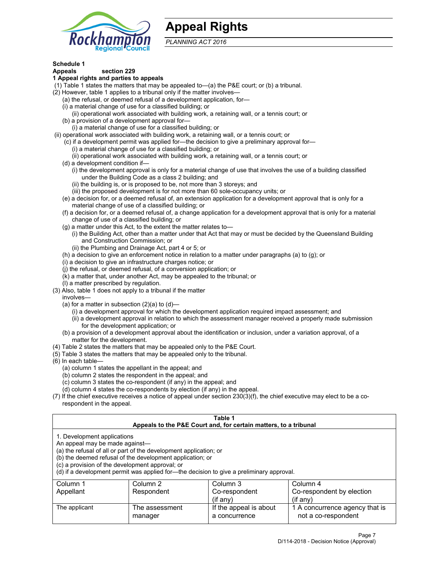

## **Appeal Rights**

*PLANNING ACT 2016*

## **Schedule 1**

## **Appeals section 229**

#### **1 Appeal rights and parties to appeals**

- (1) Table 1 states the matters that may be appealed to—(a) the P&E court; or (b) a tribunal.
- (2) However, table 1 applies to a tribunal only if the matter involves—
	- (a) the refusal, or deemed refusal of a development application, for—
	- (i) a material change of use for a classified building; or
	- (ii) operational work associated with building work, a retaining wall, or a tennis court; or
	- (b) a provision of a development approval for—
	- (i) a material change of use for a classified building; or
- (ii) operational work associated with building work, a retaining wall, or a tennis court; or
	- (c) if a development permit was applied for—the decision to give a preliminary approval for—
		- (i) a material change of use for a classified building; or
	- (ii) operational work associated with building work, a retaining wall, or a tennis court; or
	- (d) a development condition if—
		- (i) the development approval is only for a material change of use that involves the use of a building classified under the Building Code as a class 2 building; and
		- (ii) the building is, or is proposed to be, not more than 3 storeys; and
		- (iii) the proposed development is for not more than 60 sole-occupancy units; or
	- (e) a decision for, or a deemed refusal of, an extension application for a development approval that is only for a material change of use of a classified building; or
	- (f) a decision for, or a deemed refusal of, a change application for a development approval that is only for a material change of use of a classified building; or
	- (g) a matter under this Act, to the extent the matter relates to—
		- (i) the Building Act, other than a matter under that Act that may or must be decided by the Queensland Building and Construction Commission; or
		- (ii) the Plumbing and Drainage Act, part 4 or 5; or
	- (h) a decision to give an enforcement notice in relation to a matter under paragraphs (a) to (g); or
	- (i) a decision to give an infrastructure charges notice; or
	- (j) the refusal, or deemed refusal, of a conversion application; or
	- (k) a matter that, under another Act, may be appealed to the tribunal; or
	- (l) a matter prescribed by regulation.
- (3) Also, table 1 does not apply to a tribunal if the matter
	- involves—
		- (a) for a matter in subsection  $(2)(a)$  to  $(d)$ 
			- (i) a development approval for which the development application required impact assessment; and
			- (ii) a development approval in relation to which the assessment manager received a properly made submission for the development application; or
	- (b) a provision of a development approval about the identification or inclusion, under a variation approval, of a matter for the development.
- (4) Table 2 states the matters that may be appealed only to the P&E Court.
- (5) Table 3 states the matters that may be appealed only to the tribunal.
- (6) In each table—
	- (a) column 1 states the appellant in the appeal; and
	- (b) column 2 states the respondent in the appeal; and
	- (c) column 3 states the co-respondent (if any) in the appeal; and
	- (d) column 4 states the co-respondents by election (if any) in the appeal.
- (7) If the chief executive receives a notice of appeal under section 230(3)(f), the chief executive may elect to be a corespondent in the appeal.

| Table 1<br>Appeals to the P&E Court and, for certain matters, to a tribunal                                                                                                                                                                                                                                                                    |                           |                                         |                                                       |  |  |
|------------------------------------------------------------------------------------------------------------------------------------------------------------------------------------------------------------------------------------------------------------------------------------------------------------------------------------------------|---------------------------|-----------------------------------------|-------------------------------------------------------|--|--|
| 1. Development applications<br>An appeal may be made against-<br>(a) the refusal of all or part of the development application; or<br>(b) the deemed refusal of the development application; or<br>(c) a provision of the development approval; or<br>(d) if a development permit was applied for-the decision to give a preliminary approval. |                           |                                         |                                                       |  |  |
| Column 1                                                                                                                                                                                                                                                                                                                                       | Column 2                  | Column 3                                | Column 4                                              |  |  |
| Co-respondent<br>Appellant<br>Respondent<br>Co-respondent by election<br>$($ if any $)$<br>$(if$ any)                                                                                                                                                                                                                                          |                           |                                         |                                                       |  |  |
| The applicant                                                                                                                                                                                                                                                                                                                                  | The assessment<br>manager | If the appeal is about<br>a concurrence | 1 A concurrence agency that is<br>not a co-respondent |  |  |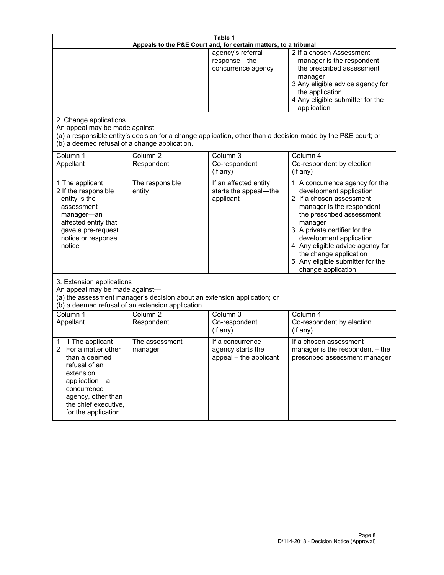| Table 1<br>Appeals to the P&E Court and, for certain matters, to a tribunal                                                                                                                        |                                                                                                                               |                                                                 |                                                                                                                                                                                                                                                                                                               |  |
|----------------------------------------------------------------------------------------------------------------------------------------------------------------------------------------------------|-------------------------------------------------------------------------------------------------------------------------------|-----------------------------------------------------------------|---------------------------------------------------------------------------------------------------------------------------------------------------------------------------------------------------------------------------------------------------------------------------------------------------------------|--|
| 2. Change applications<br>An appeal may be made against-                                                                                                                                           |                                                                                                                               | agency's referral<br>response-the<br>concurrence agency         | 2 If a chosen Assessment<br>manager is the respondent-<br>the prescribed assessment<br>manager<br>3 Any eligible advice agency for<br>the application<br>4 Any eligible submitter for the<br>application                                                                                                      |  |
| (b) a deemed refusal of a change application.<br>Column 1<br>Appellant                                                                                                                             | Column $\overline{2}$<br>Respondent                                                                                           | Column 3<br>Co-respondent                                       | (a) a responsible entity's decision for a change application, other than a decision made by the P&E court; or<br>Column 4<br>Co-respondent by election                                                                                                                                                        |  |
| 1 The applicant                                                                                                                                                                                    | The responsible                                                                                                               | (if any)<br>If an affected entity                               | (if any)<br>1 A concurrence agency for the                                                                                                                                                                                                                                                                    |  |
| 2 If the responsible<br>entity is the<br>assessment<br>manager-an<br>affected entity that<br>gave a pre-request<br>notice or response<br>notice                                                    | entity                                                                                                                        | starts the appeal-the<br>applicant                              | development application<br>2 If a chosen assessment<br>manager is the respondent-<br>the prescribed assessment<br>manager<br>3 A private certifier for the<br>development application<br>4 Any eligible advice agency for<br>the change application<br>5 Any eligible submitter for the<br>change application |  |
| 3. Extension applications<br>An appeal may be made against-                                                                                                                                        | (a) the assessment manager's decision about an extension application; or<br>(b) a deemed refusal of an extension application. |                                                                 |                                                                                                                                                                                                                                                                                                               |  |
| Column 1<br>Appellant                                                                                                                                                                              | Column <sub>2</sub><br>Respondent                                                                                             | Column 3<br>Co-respondent<br>(if any)                           | Column 4<br>Co-respondent by election<br>(if any)                                                                                                                                                                                                                                                             |  |
| 1 The applicant<br>1<br>For a matter other<br>than a deemed<br>refusal of an<br>extension<br>application $-$ a<br>concurrence<br>agency, other than<br>the chief executive,<br>for the application | The assessment<br>manager                                                                                                     | If a concurrence<br>agency starts the<br>appeal - the applicant | If a chosen assessment<br>manager is the respondent - the<br>prescribed assessment manager                                                                                                                                                                                                                    |  |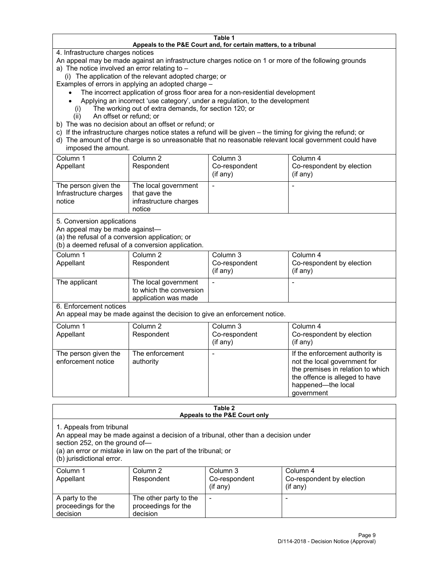#### **Table 1 Appeals to the P&E Court and, for certain matters, to a tribunal**

4. Infrastructure charges notices

An appeal may be made against an infrastructure charges notice on 1 or more of the following grounds

- a) The notice involved an error relating to
	- (i) The application of the relevant adopted charge; or

Examples of errors in applying an adopted charge –

- The incorrect application of gross floor area for a non-residential development
- Applying an incorrect 'use category', under a regulation, to the development
- (i) The working out of extra demands, for section 120; or
- (ii) An offset or refund; or
- b) The was no decision about an offset or refund; or
- c) If the infrastructure charges notice states a refund will be given the timing for giving the refund; or
- d) The amount of the charge is so unreasonable that no reasonable relevant local government could have imposed the amount.

| Column 1<br>Appellant                                    | Column 2<br>Respondent                                                    | Column 3<br>Co-respondent<br>(i f any) | Column 4<br>Co-respondent by election<br>(i f any) |
|----------------------------------------------------------|---------------------------------------------------------------------------|----------------------------------------|----------------------------------------------------|
| The person given the<br>Infrastructure charges<br>notice | The local government<br>that gave the<br>infrastructure charges<br>notice |                                        |                                                    |

5. Conversion applications

An appeal may be made against—

(a) the refusal of a conversion application; or

(b) a deemed refusal of a conversion application.

| Column 1      | Column 2                | Column 3       | Column 4                  |
|---------------|-------------------------|----------------|---------------------------|
| Appellant     | Respondent              | Co-respondent  | Co-respondent by election |
|               |                         | $($ if any $)$ | (if any)                  |
|               |                         |                |                           |
| The applicant | The local government    |                |                           |
|               | to which the conversion |                |                           |
|               | application was made    |                |                           |

6. Enforcement notices

An appeal may be made against the decision to give an enforcement notice.

| Column 1<br>Appellant                      | Column 2<br>Respondent       | Column 3<br>Co-respondent<br>(if any) | Column 4<br>Co-respondent by election<br>(if any)                                                                                                                          |
|--------------------------------------------|------------------------------|---------------------------------------|----------------------------------------------------------------------------------------------------------------------------------------------------------------------------|
| The person given the<br>enforcement notice | The enforcement<br>authority |                                       | If the enforcement authority is<br>not the local government for<br>the premises in relation to which<br>the offence is alleged to have<br>happened-the local<br>government |

#### **Table 2 Appeals to the P&E Court only**

1. Appeals from tribunal

An appeal may be made against a decision of a tribunal, other than a decision under

section 252, on the ground of—

(a) an error or mistake in law on the part of the tribunal; or

(b) jurisdictional error.

| Column 1<br>Appellant                             | Column 2<br>Respondent                                    | Column 3<br>Co-respondent<br>$(if$ any) | Column 4<br>Co-respondent by election<br>$(if$ any) |
|---------------------------------------------------|-----------------------------------------------------------|-----------------------------------------|-----------------------------------------------------|
| A party to the<br>proceedings for the<br>decision | The other party to the<br>proceedings for the<br>decision | $\overline{\phantom{a}}$                |                                                     |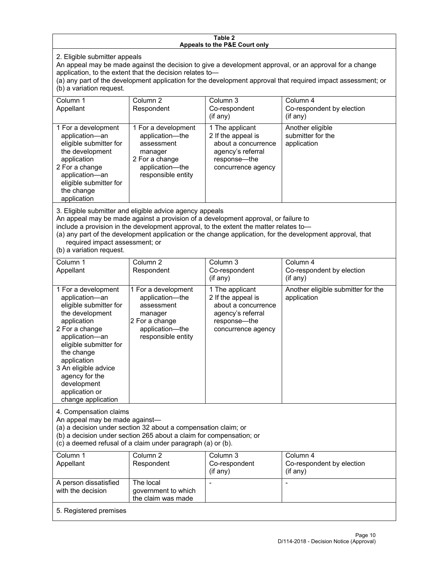#### **Table 2 Appeals to the P&E Court only**

2. Eligible submitter appeals

An appeal may be made against the decision to give a development approval, or an approval for a change application, to the extent that the decision relates to—

(a) any part of the development application for the development approval that required impact assessment; or (b) a variation request.

| Column 1<br>Appellant                                                                                                                                                                        | Column <sub>2</sub><br>Respondent                                                                                          | Column 3<br>Co-respondent<br>(i f any)                                                                                  | Column 4<br>Co-respondent by election<br>(if any)    |
|----------------------------------------------------------------------------------------------------------------------------------------------------------------------------------------------|----------------------------------------------------------------------------------------------------------------------------|-------------------------------------------------------------------------------------------------------------------------|------------------------------------------------------|
| 1 For a development<br>application-an<br>eligible submitter for<br>the development<br>application<br>2 For a change<br>application-an<br>eligible submitter for<br>the change<br>application | 1 For a development<br>application-the<br>assessment<br>manager<br>2 For a change<br>application-the<br>responsible entity | 1 The applicant<br>2 If the appeal is<br>about a concurrence<br>agency's referral<br>response—the<br>concurrence agency | Another eligible<br>submitter for the<br>application |

3. Eligible submitter and eligible advice agency appeals

An appeal may be made against a provision of a development approval, or failure to

include a provision in the development approval, to the extent the matter relates to—

(a) any part of the development application or the change application, for the development approval, that required impact assessment; or

(b) a variation request.

| Column 1<br>Appellant                                                                                                                                                                                                                                                                         | Column <sub>2</sub><br>Respondent                                                                                          | Column <sub>3</sub><br>Co-respondent<br>(i f any)                                                                       | Column 4<br>Co-respondent by election<br>(if any) |  |
|-----------------------------------------------------------------------------------------------------------------------------------------------------------------------------------------------------------------------------------------------------------------------------------------------|----------------------------------------------------------------------------------------------------------------------------|-------------------------------------------------------------------------------------------------------------------------|---------------------------------------------------|--|
| 1 For a development<br>application-an<br>eligible submitter for<br>the development<br>application<br>2 For a change<br>application-an<br>eligible submitter for<br>the change<br>application<br>3 An eligible advice<br>agency for the<br>development<br>application or<br>change application | 1 For a development<br>application-the<br>assessment<br>manager<br>2 For a change<br>application-the<br>responsible entity | 1 The applicant<br>2 If the appeal is<br>about a concurrence<br>agency's referral<br>response-the<br>concurrence agency | Another eligible submitter for the<br>application |  |
| 4. Compensation claims<br>An appeal may be made against-<br>(a) a decision under section 32 about a compensation claim; or<br>(b) a decision under section 265 about a claim for compensation; or<br>(c) a deemed refusal of a claim under paragraph (a) or (b).                              |                                                                                                                            |                                                                                                                         |                                                   |  |
| Column 1<br>Appellant                                                                                                                                                                                                                                                                         | Column <sub>2</sub><br>Respondent                                                                                          | Column 3<br>Co-respondent<br>(if any)                                                                                   | Column 4<br>Co-respondent by election<br>(if any) |  |
| A person dissatisfied<br>with the decision                                                                                                                                                                                                                                                    | The local<br>government to which<br>the claim was made                                                                     |                                                                                                                         |                                                   |  |
| 5. Registered premises                                                                                                                                                                                                                                                                        |                                                                                                                            |                                                                                                                         |                                                   |  |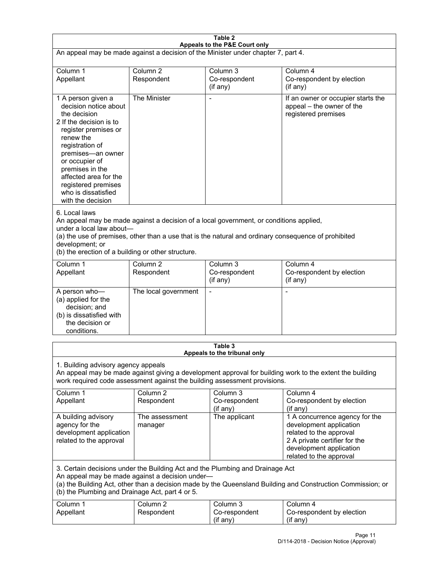| Table 2<br>Appeals to the P&E Court only                                                                                                                                                                                                                                                                             |                                   |                                                  |                                                                                                                                                                             |  |
|----------------------------------------------------------------------------------------------------------------------------------------------------------------------------------------------------------------------------------------------------------------------------------------------------------------------|-----------------------------------|--------------------------------------------------|-----------------------------------------------------------------------------------------------------------------------------------------------------------------------------|--|
| An appeal may be made against a decision of the Minister under chapter 7, part 4.                                                                                                                                                                                                                                    |                                   |                                                  |                                                                                                                                                                             |  |
| Column 1<br>Appellant                                                                                                                                                                                                                                                                                                | Column <sub>2</sub><br>Respondent | Column <sub>3</sub><br>Co-respondent<br>(if any) | Column 4<br>Co-respondent by election<br>(if any)                                                                                                                           |  |
| 1 A person given a<br>decision notice about<br>the decision<br>2 If the decision is to<br>register premises or<br>renew the<br>registration of<br>premises-an owner<br>or occupier of<br>premises in the<br>affected area for the<br>registered premises<br>who is dissatisfied<br>with the decision                 | The Minister                      | $\overline{a}$                                   | If an owner or occupier starts the<br>appeal - the owner of the<br>registered premises                                                                                      |  |
| 6. Local laws<br>An appeal may be made against a decision of a local government, or conditions applied,<br>under a local law about-<br>(a) the use of premises, other than a use that is the natural and ordinary consequence of prohibited<br>development; or<br>(b) the erection of a building or other structure. |                                   |                                                  |                                                                                                                                                                             |  |
| Column 1<br>Appellant                                                                                                                                                                                                                                                                                                | Column <sub>2</sub><br>Respondent | Column <sub>3</sub><br>Co-respondent<br>(if any) | Column 4<br>Co-respondent by election<br>(if any)                                                                                                                           |  |
| A person who-<br>(a) applied for the<br>decision; and<br>(b) is dissatisfied with<br>the decision or<br>conditions.                                                                                                                                                                                                  | The local government              | L,                                               | $\overline{a}$                                                                                                                                                              |  |
|                                                                                                                                                                                                                                                                                                                      |                                   | Table 3<br>Appeals to the tribunal only          |                                                                                                                                                                             |  |
| 1. Building advisory agency appeals<br>An appeal may be made against giving a development approval for building work to the extent the building<br>work required code assessment against the building assessment provisions.                                                                                         |                                   |                                                  |                                                                                                                                                                             |  |
| Column 1<br>Appellant                                                                                                                                                                                                                                                                                                | Column <sub>2</sub><br>Respondent | Column 3<br>Co-respondent<br>(if any)            | Column 4<br>Co-respondent by election<br>(if any)                                                                                                                           |  |
| A building advisory<br>agency for the<br>development application<br>related to the approval                                                                                                                                                                                                                          | The assessment<br>manager         | The applicant                                    | 1 A concurrence agency for the<br>development application<br>related to the approval<br>2 A private certifier for the<br>development application<br>related to the approval |  |
| 3. Certain decisions under the Building Act and the Plumbing and Drainage Act<br>An appeal may be made against a decision under-<br>(a) the Building Act, other than a decision made by the Queensland Building and Construction Commission; or<br>(b) the Plumbing and Drainage Act, part 4 or 5.                   |                                   |                                                  |                                                                                                                                                                             |  |
| Column 1<br>Appellant                                                                                                                                                                                                                                                                                                | Column <sub>2</sub><br>Respondent | Column 3<br>Co-respondent<br>(if any)            | Column 4<br>Co-respondent by election<br>(if any)                                                                                                                           |  |